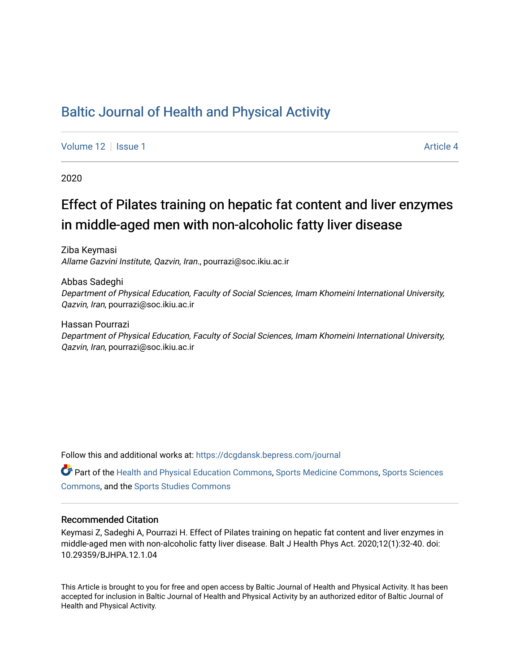## [Baltic Journal of Health and Physical Activity](https://dcgdansk.bepress.com/journal)

[Volume 12](https://dcgdansk.bepress.com/journal/vol12) Setup 1 Article 4

2020

# Effect of Pilates training on hepatic fat content and liver enzymes in middle-aged men with non-alcoholic fatty liver disease

Ziba Keymasi Allame Gazvini Institute, Qazvin, Iran., pourrazi@soc.ikiu.ac.ir

Abbas Sadeghi Department of Physical Education, Faculty of Social Sciences, Imam Khomeini International University, Qazvin, Iran, pourrazi@soc.ikiu.ac.ir

Hassan Pourrazi Department of Physical Education, Faculty of Social Sciences, Imam Khomeini International University, Qazvin, Iran, pourrazi@soc.ikiu.ac.ir

Follow this and additional works at: [https://dcgdansk.bepress.com/journal](https://dcgdansk.bepress.com/journal?utm_source=dcgdansk.bepress.com%2Fjournal%2Fvol12%2Fiss1%2F4&utm_medium=PDF&utm_campaign=PDFCoverPages)

Part of the [Health and Physical Education Commons](http://network.bepress.com/hgg/discipline/1327?utm_source=dcgdansk.bepress.com%2Fjournal%2Fvol12%2Fiss1%2F4&utm_medium=PDF&utm_campaign=PDFCoverPages), [Sports Medicine Commons,](http://network.bepress.com/hgg/discipline/1331?utm_source=dcgdansk.bepress.com%2Fjournal%2Fvol12%2Fiss1%2F4&utm_medium=PDF&utm_campaign=PDFCoverPages) [Sports Sciences](http://network.bepress.com/hgg/discipline/759?utm_source=dcgdansk.bepress.com%2Fjournal%2Fvol12%2Fiss1%2F4&utm_medium=PDF&utm_campaign=PDFCoverPages) [Commons](http://network.bepress.com/hgg/discipline/759?utm_source=dcgdansk.bepress.com%2Fjournal%2Fvol12%2Fiss1%2F4&utm_medium=PDF&utm_campaign=PDFCoverPages), and the [Sports Studies Commons](http://network.bepress.com/hgg/discipline/1198?utm_source=dcgdansk.bepress.com%2Fjournal%2Fvol12%2Fiss1%2F4&utm_medium=PDF&utm_campaign=PDFCoverPages) 

#### Recommended Citation

Keymasi Z, Sadeghi A, Pourrazi H. Effect of Pilates training on hepatic fat content and liver enzymes in middle-aged men with non-alcoholic fatty liver disease. Balt J Health Phys Act. 2020;12(1):32-40. doi: 10.29359/BJHPA.12.1.04

This Article is brought to you for free and open access by Baltic Journal of Health and Physical Activity. It has been accepted for inclusion in Baltic Journal of Health and Physical Activity by an authorized editor of Baltic Journal of Health and Physical Activity.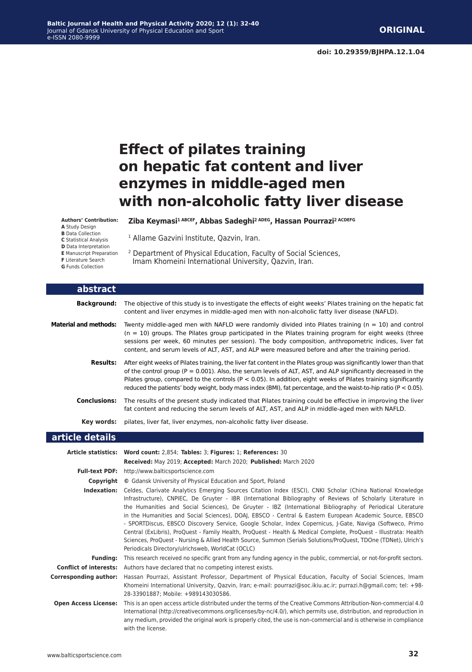# **Effect of pilates training on hepatic fat content and liver enzymes in middle-aged men with non-alcoholic fatty liver disease**

#### **Authors' Contribution:**

- **A** Study Design
- **B** Data Collection
- **C** Statistical Analysis
- **D** Data Interpretation
- **E** Manuscript Preparation **F** Literature Search
- **G** Funds Collection
- 2 Department of Physical Education, Faculty of Social Sciences, Imam Khomeini International University, Qazvin, Iran.

<sup>1</sup> Allame Gazvini Institute, Qazvin, Iran.

Ziba Keymasi<sup>1 ABCEF</sup>, Abbas Sadeghi<sup>2 ADEG</sup>, Hassan Pourrazi<sup>2 ACDEFG</sup>

| abstract                     |                                                                                                                                                                                                                                                                                                                                                                                                                                                                                       |
|------------------------------|---------------------------------------------------------------------------------------------------------------------------------------------------------------------------------------------------------------------------------------------------------------------------------------------------------------------------------------------------------------------------------------------------------------------------------------------------------------------------------------|
| <b>Background:</b>           | The objective of this study is to investigate the effects of eight weeks' Pilates training on the hepatic fat<br>content and liver enzymes in middle-aged men with non-alcoholic fatty liver disease (NAFLD).                                                                                                                                                                                                                                                                         |
| <b>Material and methods:</b> | Twenty middle-aged men with NAFLD were randomly divided into Pilates training ( $n = 10$ ) and control<br>$(n = 10)$ groups. The Pilates group participated in the Pilates training program for eight weeks (three<br>sessions per week, 60 minutes per session). The body composition, anthropometric indices, liver fat<br>content, and serum levels of ALT, AST, and ALP were measured before and after the training period.                                                       |
| <b>Results:</b>              | After eight weeks of Pilates training, the liver fat content in the Pilates group was significantly lower than that<br>of the control group ( $P = 0.001$ ). Also, the serum levels of ALT, AST, and ALP significantly decreased in the<br>Pilates group, compared to the controls ( $P < 0.05$ ). In addition, eight weeks of Pilates training significantly<br>reduced the patients' body weight, body mass index (BMI), fat percentage, and the waist-to-hip ratio ( $P < 0.05$ ). |
| <b>Conclusions:</b>          | The results of the present study indicated that Pilates training could be effective in improving the liver<br>fat content and reducing the serum levels of ALT, AST, and ALP in middle-aged men with NAFLD.                                                                                                                                                                                                                                                                           |
| Key words:                   | pilates, liver fat, liver enzymes, non-alcoholic fatty liver disease.                                                                                                                                                                                                                                                                                                                                                                                                                 |
| article details              |                                                                                                                                                                                                                                                                                                                                                                                                                                                                                       |
|                              | Article statistics: Word count: 2,854; Tables: 3; Figures: 1; References: 30<br>Received: May 2019; Accepted: March 2020; Published: March 2020                                                                                                                                                                                                                                                                                                                                       |
|                              | Full-text PDF: http://www.balticsportscience.com                                                                                                                                                                                                                                                                                                                                                                                                                                      |
| Copvriaht                    | © Gdansk University of Physical Education and Sport, Poland                                                                                                                                                                                                                                                                                                                                                                                                                           |

| Indexation: Celdes, Clarivate Analytics Emerging Sources Citation Index (ESCI), CNKI Scholar (China National Knowledge                 |
|----------------------------------------------------------------------------------------------------------------------------------------|
| Infrastructure), CNPIEC, De Gruyter - IBR (International Bibliography of Reviews of Scholarly Literature in                            |
| the Humanities and Social Sciences), De Gruyter - IBZ (International Bibliography of Periodical Literature                             |
| in the Humanities and Social Sciences), DOAJ, EBSCO - Central & Eastern European Academic Source, EBSCO                                |
| - SPORTDiscus, EBSCO Discovery Service, Google Scholar, Index Copernicus, J-Gate, Naviga (Softweco, Primo                              |
| Central (ExLibris), ProQuest - Family Health, ProQuest - Health & Medical Complete, ProQuest - Illustrata: Health                      |
| Sciences, ProQuest - Nursing & Allied Health Source, Summon (Serials Solutions/ProQuest, TDOne (TDNet), Ulrich's                       |
| Periodicals Directory/ulrichsweb, WorldCat (OCLC)                                                                                      |
| <b>Funding:</b> This research received no specific grant from any funding agency in the public, commercial, or not-for-profit sectors. |
| <b>Conflict of interests:</b> Authors have declared that no competing interest exists.                                                 |

**Corresponding author:** Hassan Pourrazi, Assistant Professor, Department of Physical Education, Faculty of Social Sciences, Imam Khomeini International University, Qazvin, Iran; e-mail: pourrazi@soc.ikiu.ac.ir; purrazi.h@gmail.com; tel: +98- 28-33901887; Mobile: +989143030586.

**Open Access License:** This is an open access article distributed under the terms of the Creative Commons Attribution-Non-commercial 4.0 International (http://creativecommons.org/licenses/by-nc/4.0/), which permits use, distribution, and reproduction in any medium, provided the original work is properly cited, the use is non-commercial and is otherwise in compliance with the license.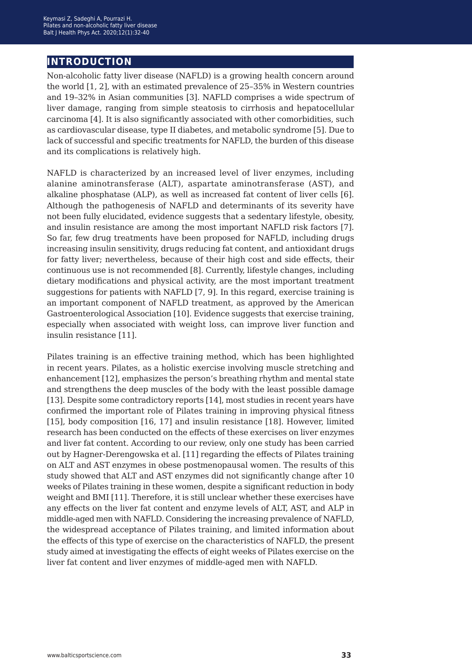### **introduction**

Non-alcoholic fatty liver disease (NAFLD) is a growing health concern around the world [1, 2], with an estimated prevalence of 25–35% in Western countries and 19–32% in Asian communities [3]. NAFLD comprises a wide spectrum of liver damage, ranging from simple steatosis to cirrhosis and hepatocellular carcinoma [4]. It is also significantly associated with other comorbidities, such as cardiovascular disease, type II diabetes, and metabolic syndrome [5]. Due to lack of successful and specific treatments for NAFLD, the burden of this disease and its complications is relatively high.

NAFLD is characterized by an increased level of liver enzymes, including alanine aminotransferase (ALT), aspartate aminotransferase (AST), and alkaline phosphatase (ALP), as well as increased fat content of liver cells [6]. Although the pathogenesis of NAFLD and determinants of its severity have not been fully elucidated, evidence suggests that a sedentary lifestyle, obesity, and insulin resistance are among the most important NAFLD risk factors [7]. So far, few drug treatments have been proposed for NAFLD, including drugs increasing insulin sensitivity, drugs reducing fat content, and antioxidant drugs for fatty liver; nevertheless, because of their high cost and side effects, their continuous use is not recommended [8]. Currently, lifestyle changes, including dietary modifications and physical activity, are the most important treatment suggestions for patients with NAFLD [7, 9]. In this regard, exercise training is an important component of NAFLD treatment, as approved by the American Gastroenterological Association [10]. Evidence suggests that exercise training, especially when associated with weight loss, can improve liver function and insulin resistance [11].

Pilates training is an effective training method, which has been highlighted in recent years. Pilates, as a holistic exercise involving muscle stretching and enhancement [12], emphasizes the person's breathing rhythm and mental state and strengthens the deep muscles of the body with the least possible damage [13]. Despite some contradictory reports [14], most studies in recent years have confirmed the important role of Pilates training in improving physical fitness [15], body composition [16, 17] and insulin resistance [18]. However, limited research has been conducted on the effects of these exercises on liver enzymes and liver fat content. According to our review, only one study has been carried out by Hagner-Derengowska et al. [11] regarding the effects of Pilates training on ALT and AST enzymes in obese postmenopausal women. The results of this study showed that ALT and AST enzymes did not significantly change after 10 weeks of Pilates training in these women, despite a significant reduction in body weight and BMI [11]. Therefore, it is still unclear whether these exercises have any effects on the liver fat content and enzyme levels of ALT, AST, and ALP in middle-aged men with NAFLD. Considering the increasing prevalence of NAFLD, the widespread acceptance of Pilates training, and limited information about the effects of this type of exercise on the characteristics of NAFLD, the present study aimed at investigating the effects of eight weeks of Pilates exercise on the liver fat content and liver enzymes of middle-aged men with NAFLD.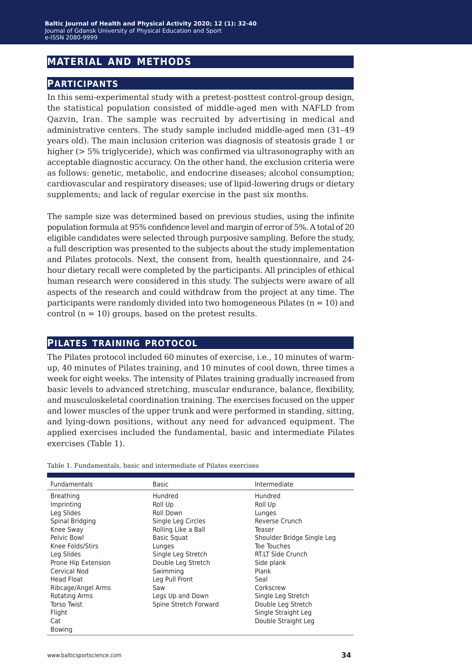### **material and methods**

#### **participants**

In this semi-experimental study with a pretest-posttest control-group design, the statistical population consisted of middle-aged men with NAFLD from Qazvin, Iran. The sample was recruited by advertising in medical and administrative centers. The study sample included middle-aged men (31–49 years old). The main inclusion criterion was diagnosis of steatosis grade 1 or higher (> 5% triglyceride), which was confirmed via ultrasonography with an acceptable diagnostic accuracy. On the other hand, the exclusion criteria were as follows: genetic, metabolic, and endocrine diseases; alcohol consumption; cardiovascular and respiratory diseases; use of lipid-lowering drugs or dietary supplements; and lack of regular exercise in the past six months.

The sample size was determined based on previous studies, using the infinite population formula at 95% confidence level and margin of error of 5%. A total of 20 eligible candidates were selected through purposive sampling. Before the study, a full description was presented to the subjects about the study implementation and Pilates protocols. Next, the consent from, health questionnaire, and 24 hour dietary recall were completed by the participants. All principles of ethical human research were considered in this study. The subjects were aware of all aspects of the research and could withdraw from the project at any time. The participants were randomly divided into two homogeneous Pilates  $(n = 10)$  and control  $(n = 10)$  groups, based on the pretest results.

#### **pilates training protocol**

The Pilates protocol included 60 minutes of exercise, i.e., 10 minutes of warmup, 40 minutes of Pilates training, and 10 minutes of cool down, three times a week for eight weeks. The intensity of Pilates training gradually increased from basic levels to advanced stretching, muscular endurance, balance, flexibility, and musculoskeletal coordination training. The exercises focused on the upper and lower muscles of the upper trunk and were performed in standing, sitting, and lying-down positions, without any need for advanced equipment. The applied exercises included the fundamental, basic and intermediate Pilates exercises (Table 1).

| <b>Fundamentals</b>  | <b>Basic</b>          | Intermediate               |
|----------------------|-----------------------|----------------------------|
| <b>Breathing</b>     | Hundred               | Hundred                    |
| Imprinting           | Roll Up               | Roll Up                    |
| Leg Slides           | Roll Down             | Lunges                     |
| Spinal Bridging      | Single Leg Circles    | Reverse Crunch             |
| Knee Sway            | Rolling Like a Ball   | Teaser                     |
| Pelvic Bowl          | <b>Basic Squat</b>    | Shoulder Bridge Single Leg |
| Knee Folds/Stirs     | Lunges                | Toe Touches                |
| Leg Slides           | Single Leg Stretch    | RT.LT Side Crunch          |
| Prone Hip Extension  | Double Leg Stretch    | Side plank                 |
| Cervical Nod         | Swimming              | Plank                      |
| <b>Head Float</b>    | Leg Pull Front        | Seal                       |
| Ribcage/Angel Arms   | Saw                   | Corkscrew                  |
| <b>Rotating Arms</b> | Legs Up and Down      | Single Leg Stretch         |
| <b>Torso Twist</b>   | Spine Stretch Forward | Double Leg Stretch         |
| Flight               |                       | Single Straight Leg        |
| Cat                  |                       | Double Straight Leg        |
| <b>Bowing</b>        |                       |                            |

Table 1. Fundamentals, basic and intermediate of Pilates exercises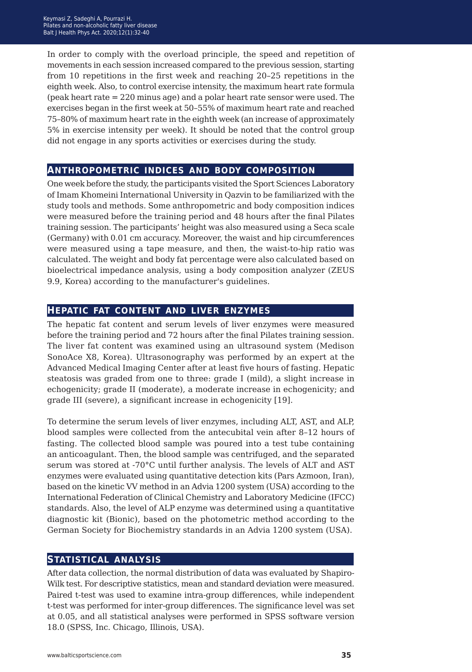In order to comply with the overload principle, the speed and repetition of movements in each session increased compared to the previous session, starting from 10 repetitions in the first week and reaching 20–25 repetitions in the eighth week. Also, to control exercise intensity, the maximum heart rate formula (peak heart rate = 220 minus age) and a polar heart rate sensor were used. The exercises began in the first week at 50–55% of maximum heart rate and reached 75–80% of maximum heart rate in the eighth week (an increase of approximately 5% in exercise intensity per week). It should be noted that the control group did not engage in any sports activities or exercises during the study.

#### **anthropometric indices and body composition**

One week before the study, the participants visited the Sport Sciences Laboratory of Imam Khomeini International University in Qazvin to be familiarized with the study tools and methods. Some anthropometric and body composition indices were measured before the training period and 48 hours after the final Pilates training session. The participants' height was also measured using a Seca scale (Germany) with 0.01 cm accuracy. Moreover, the waist and hip circumferences were measured using a tape measure, and then, the waist-to-hip ratio was calculated. The weight and body fat percentage were also calculated based on bioelectrical impedance analysis, using a body composition analyzer (ZEUS 9.9, Korea) according to the manufacturer's guidelines.

#### **hepatic fat content and liver enzymes**

The hepatic fat content and serum levels of liver enzymes were measured before the training period and 72 hours after the final Pilates training session. The liver fat content was examined using an ultrasound system (Medison SonoAce X8, Korea). Ultrasonography was performed by an expert at the Advanced Medical Imaging Center after at least five hours of fasting. Hepatic steatosis was graded from one to three: grade I (mild), a slight increase in echogenicity; grade II (moderate), a moderate increase in echogenicity; and grade III (severe), a significant increase in echogenicity [19].

To determine the serum levels of liver enzymes, including ALT, AST, and ALP, blood samples were collected from the antecubital vein after 8–12 hours of fasting. The collected blood sample was poured into a test tube containing an anticoagulant. Then, the blood sample was centrifuged, and the separated serum was stored at -70°C until further analysis. The levels of ALT and AST enzymes were evaluated using quantitative detection kits (Pars Azmoon, Iran), based on the kinetic VV method in an Advia 1200 system (USA) according to the International Federation of Clinical Chemistry and Laboratory Medicine (IFCC) standards. Also, the level of ALP enzyme was determined using a quantitative diagnostic kit (Bionic), based on the photometric method according to the German Society for Biochemistry standards in an Advia 1200 system (USA).

#### **statistical analysis**

After data collection, the normal distribution of data was evaluated by Shapiro-Wilk test. For descriptive statistics, mean and standard deviation were measured. Paired t-test was used to examine intra-group differences, while independent t-test was performed for inter-group differences. The significance level was set at 0.05, and all statistical analyses were performed in SPSS software version 18.0 (SPSS, Inc. Chicago, Illinois, USA).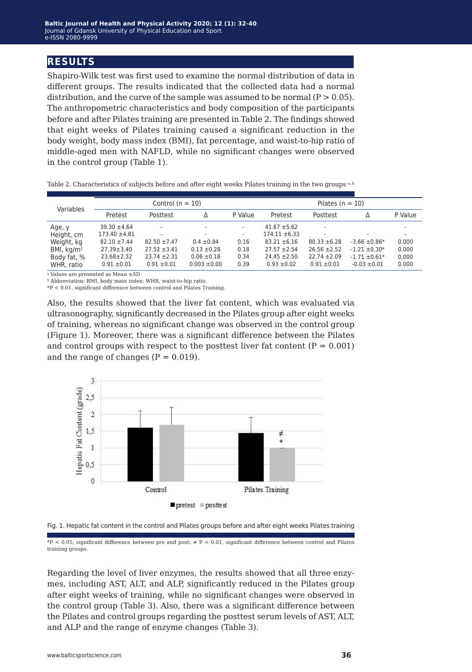#### **results**

Shapiro-Wilk test was first used to examine the normal distribution of data in different groups. The results indicated that the collected data had a normal distribution, and the curve of the sample was assumed to be normal  $(P > 0.05)$ . The anthropometric characteristics and body composition of the participants before and after Pilates training are presented in Table 2. The findings showed that eight weeks of Pilates training caused a significant reduction in the body weight, body mass index (BMI), fat percentage, and waist-to-hip ratio of middle-aged men with NAFLD, while no significant changes were observed in the control group (Table 1).

| Variables    | Control $(n = 10)$ |                          |                  |                          | Pilates $(n = 10)$ |                  |                          |         |
|--------------|--------------------|--------------------------|------------------|--------------------------|--------------------|------------------|--------------------------|---------|
|              | Pretest            | Posttest                 | Δ                | P Value                  | Pretest            | Posttest         | Δ                        | P Value |
| Age, y       | $39.30 \pm 4.64$   | $\overline{a}$           | $\sim$           | $\overline{\phantom{a}}$ | $41.67 \pm 5.62$   |                  |                          | ۰       |
| Height, cm   | $173.40 \pm 4.81$  | $\overline{\phantom{a}}$ | ۰                | ٠                        | $174.11 \pm 6.33$  |                  | $\overline{\phantom{a}}$ | ۰       |
| Weight, kg   | $82.10 \pm 7.44$   | $82.50 \pm 7.47$         | $0.4 \pm 0.84$   | 0.16                     | $83.21 \pm 6.16$   | $80.33 \pm 6.28$ | $-3.66 \pm 0.86*$        | 0.000   |
| BMI, $kg/m2$ | $27.39 \pm 3.40$   | $27.52 \pm 3.41$         | $0.13 \pm 0.28$  | 0.18                     | $27.57 \pm 2.54$   | $26.56 \pm 2.52$ | $-1.21 \pm 0.30*$        | 0.000   |
| Body fat, %  | $23.68 \pm 2.32$   | $23.74 \pm 2.31$         | $0.06 \pm 0.18$  | 0.34                     | $24.45 \pm 2.50$   | $22.74 \pm 2.09$ | $-1.71 \pm 0.61*$        | 0.000   |
| WHR, ratio   | $0.91 \pm 0.01$    | $0.91 \pm 0.01$          | $0.003 \pm 0.00$ | 0.39                     | $0.93 \pm 0.02$    | $0.91 \pm 0.01$  | $-0.03 \pm 0.01$         | 0.000   |

Table 2. Characteristics of subjects before and after eight weeks Pilates training in the two groups a, b

<sup>a</sup> Values are presented as Mean ±SD

**b** Abbreviation: BMI, body mass index; WHR, waist-to-hip ratio.

\*P < 0.01, significant difference between control and Pilates Training.

Also, the results showed that the liver fat content, which was evaluated via ultrasonography, significantly decreased in the Pilates group after eight weeks of training, whereas no significant change was observed in the control group (Figure 1). Moreover, there was a significant difference between the Pilates and control groups with respect to the posttest liver fat content  $(P = 0.001)$ and the range of changes  $(P = 0.019)$ .





\*P < 0.05, significant difference between pre and post; ≠ P < 0.01, significant difference between control and Pilates training groups.

Regarding the level of liver enzymes, the results showed that all three enzymes, including AST, ALT, and ALP, significantly reduced in the Pilates group after eight weeks of training, while no significant changes were observed in the control group (Table 3). Also, there was a significant difference between the Pilates and control groups regarding the posttest serum levels of AST, ALT, and ALP and the range of enzyme changes (Table 3).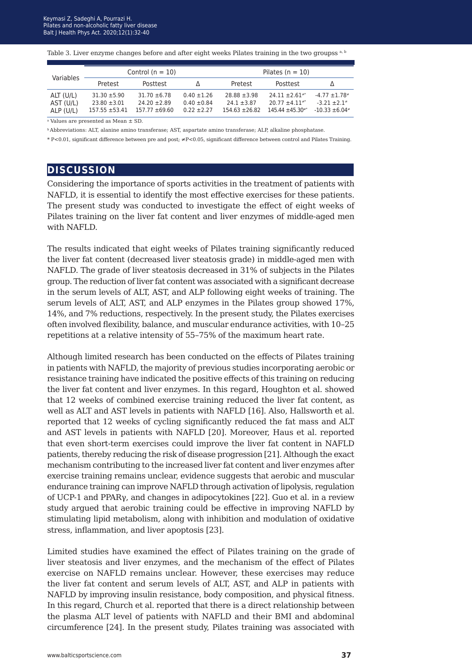Table 3. Liver enzyme changes before and after eight weeks Pilates training in the two groupss a, b

| Variables                           |                                                            | Control $(n = 10)$                                     |                                                     | Pilates $(n = 10)$                                    |                                                                                                 |                                                           |  |
|-------------------------------------|------------------------------------------------------------|--------------------------------------------------------|-----------------------------------------------------|-------------------------------------------------------|-------------------------------------------------------------------------------------------------|-----------------------------------------------------------|--|
|                                     | Pretest                                                    | Posttest                                               |                                                     | Pretest                                               | Posttest                                                                                        | Δ                                                         |  |
| ALT (U/L)<br>AST (U/L)<br>ALP (U/L) | $31.30 \pm 5.90$<br>$23.80 \pm 3.01$<br>$157.55 \pm 53.41$ | $31.70 \pm 6.78$<br>$74.20 + 7.89$<br>$157.77 + 69.60$ | $0.40 \pm 1.26$<br>$0.40 \pm 0.84$<br>$0.22 + 2.27$ | $28.88 \pm 3.98$<br>$74.1 + 3.87$<br>$154.63 + 26.82$ | $24.11 \pm 2.61$ <sup>*</sup><br>$20.77 + 4.11$ <sup>**</sup><br>$145.44 + 45.30$ <sup>**</sup> | $-4.77 \pm 1.78$ *<br>$-3.21 + 2.1*$<br>$-10.33 \pm 6.04$ |  |

<sup>a</sup> Values are presented as Mean ± SD.

b Abbreviations: ALT, alanine amino transferase; AST, aspartate amino transferase; ALP, alkaline phosphatase.

\* P<0.01, significant difference between pre and post; ≠P<0.05, significant difference between control and Pilates Training.

#### **discussion**

Considering the importance of sports activities in the treatment of patients with NAFLD, it is essential to identify the most effective exercises for these patients. The present study was conducted to investigate the effect of eight weeks of Pilates training on the liver fat content and liver enzymes of middle-aged men with NAFLD.

The results indicated that eight weeks of Pilates training significantly reduced the liver fat content (decreased liver steatosis grade) in middle-aged men with NAFLD. The grade of liver steatosis decreased in 31% of subjects in the Pilates group. The reduction of liver fat content was associated with a significant decrease in the serum levels of ALT, AST, and ALP following eight weeks of training. The serum levels of ALT, AST, and ALP enzymes in the Pilates group showed 17%, 14%, and 7% reductions, respectively. In the present study, the Pilates exercises often involved flexibility, balance, and muscular endurance activities, with 10–25 repetitions at a relative intensity of 55–75% of the maximum heart rate.

Although limited research has been conducted on the effects of Pilates training in patients with NAFLD, the majority of previous studies incorporating aerobic or resistance training have indicated the positive effects of this training on reducing the liver fat content and liver enzymes. In this regard, Houghton et al. showed that 12 weeks of combined exercise training reduced the liver fat content, as well as ALT and AST levels in patients with NAFLD [16]. Also, Hallsworth et al. reported that 12 weeks of cycling significantly reduced the fat mass and ALT and AST levels in patients with NAFLD [20]. Moreover, Haus et al. reported that even short-term exercises could improve the liver fat content in NAFLD patients, thereby reducing the risk of disease progression [21]. Although the exact mechanism contributing to the increased liver fat content and liver enzymes after exercise training remains unclear, evidence suggests that aerobic and muscular endurance training can improve NAFLD through activation of lipolysis, regulation of UCP-1 and PPARγ, and changes in adipocytokines [22]. Guo et al. in a review study argued that aerobic training could be effective in improving NAFLD by stimulating lipid metabolism, along with inhibition and modulation of oxidative stress, inflammation, and liver apoptosis [23].

Limited studies have examined the effect of Pilates training on the grade of liver steatosis and liver enzymes, and the mechanism of the effect of Pilates exercise on NAFLD remains unclear. However, these exercises may reduce the liver fat content and serum levels of ALT, AST, and ALP in patients with NAFLD by improving insulin resistance, body composition, and physical fitness. In this regard, Church et al. reported that there is a direct relationship between the plasma ALT level of patients with NAFLD and their BMI and abdominal circumference [24]. In the present study, Pilates training was associated with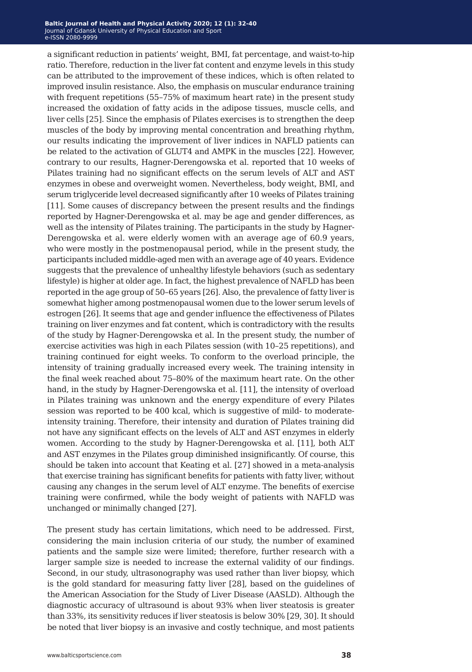a significant reduction in patients' weight, BMI, fat percentage, and waist-to-hip ratio. Therefore, reduction in the liver fat content and enzyme levels in this study can be attributed to the improvement of these indices, which is often related to improved insulin resistance. Also, the emphasis on muscular endurance training with frequent repetitions (55–75% of maximum heart rate) in the present study increased the oxidation of fatty acids in the adipose tissues, muscle cells, and liver cells [25]. Since the emphasis of Pilates exercises is to strengthen the deep muscles of the body by improving mental concentration and breathing rhythm, our results indicating the improvement of liver indices in NAFLD patients can be related to the activation of GLUT4 and AMPK in the muscles [22]. However, contrary to our results, Hagner-Derengowska et al. reported that 10 weeks of Pilates training had no significant effects on the serum levels of ALT and AST enzymes in obese and overweight women. Nevertheless, body weight, BMI, and serum triglyceride level decreased significantly after 10 weeks of Pilates training [11]. Some causes of discrepancy between the present results and the findings reported by Hagner-Derengowska et al. may be age and gender differences, as well as the intensity of Pilates training. The participants in the study by Hagner-Derengowska et al. were elderly women with an average age of 60.9 years, who were mostly in the postmenopausal period, while in the present study, the participants included middle-aged men with an average age of 40 years. Evidence suggests that the prevalence of unhealthy lifestyle behaviors (such as sedentary lifestyle) is higher at older age. In fact, the highest prevalence of NAFLD has been reported in the age group of 50–65 years [26]. Also, the prevalence of fatty liver is somewhat higher among postmenopausal women due to the lower serum levels of estrogen [26]. It seems that age and gender influence the effectiveness of Pilates training on liver enzymes and fat content, which is contradictory with the results of the study by Hagner-Derengowska et al. In the present study, the number of exercise activities was high in each Pilates session (with 10–25 repetitions), and training continued for eight weeks. To conform to the overload principle, the intensity of training gradually increased every week. The training intensity in the final week reached about 75–80% of the maximum heart rate. On the other hand, in the study by Hagner-Derengowska et al. [11], the intensity of overload in Pilates training was unknown and the energy expenditure of every Pilates session was reported to be 400 kcal, which is suggestive of mild- to moderateintensity training. Therefore, their intensity and duration of Pilates training did not have any significant effects on the levels of ALT and AST enzymes in elderly women. According to the study by Hagner-Derengowska et al. [11], both ALT and AST enzymes in the Pilates group diminished insignificantly. Of course, this should be taken into account that Keating et al. [27] showed in a meta-analysis that exercise training has significant benefits for patients with fatty liver, without causing any changes in the serum level of ALT enzyme. The benefits of exercise training were confirmed, while the body weight of patients with NAFLD was unchanged or minimally changed [27].

The present study has certain limitations, which need to be addressed. First, considering the main inclusion criteria of our study, the number of examined patients and the sample size were limited; therefore, further research with a larger sample size is needed to increase the external validity of our findings. Second, in our study, ultrasonography was used rather than liver biopsy, which is the gold standard for measuring fatty liver [28], based on the guidelines of the American Association for the Study of Liver Disease (AASLD). Although the diagnostic accuracy of ultrasound is about 93% when liver steatosis is greater than 33%, its sensitivity reduces if liver steatosis is below 30% [29, 30]. It should be noted that liver biopsy is an invasive and costly technique, and most patients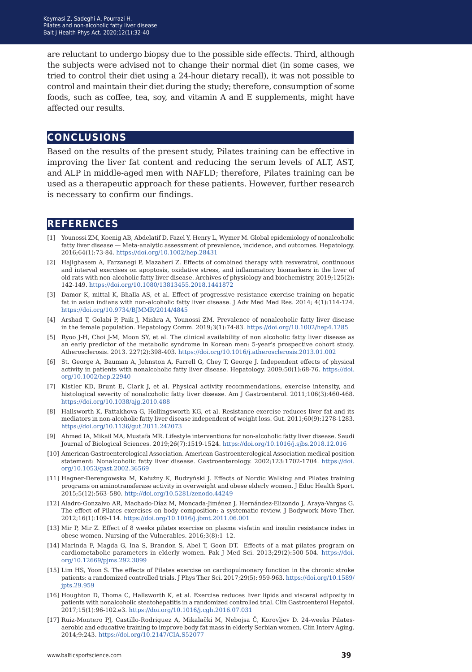are reluctant to undergo biopsy due to the possible side effects. Third, although the subjects were advised not to change their normal diet (in some cases, we tried to control their diet using a 24-hour dietary recall), it was not possible to control and maintain their diet during the study; therefore, consumption of some foods, such as coffee, tea, soy, and vitamin A and E supplements, might have affected our results.

#### **conclusions**

Based on the results of the present study, Pilates training can be effective in improving the liver fat content and reducing the serum levels of ALT, AST, and ALP in middle-aged men with NAFLD; therefore, Pilates training can be used as a therapeutic approach for these patients. However, further research is necessary to confirm our findings.

#### **references**

- [1] Younossi ZM, Koenig AB, Abdelatif D, Fazel Y, Henry L, Wymer M. Global epidemiology of nonalcoholic fatty liver disease — Meta-analytic assessment of prevalence, incidence, and outcomes. Hepatology. 2016;64(1):73-84. <https://doi.org/10.1002/hep.28431>
- [2] Hajighasem A, Farzanegi P, Mazaheri Z. Effects of combined therapy with resveratrol, continuous and interval exercises on apoptosis, oxidative stress, and inflammatory biomarkers in the liver of old rats with non-alcoholic fatty liver disease. Archives of physiology and biochemistry, 2019;125(2): 142-149.<https://doi.org/10.1080/13813455.2018.1441872>
- [3] Damor K, mittal K, Bhalla AS, et al. Effect of progressive resistance exercise training on hepatic fat in asian indians with non-alcoholic fatty liver disease. J Adv Med Med Res. 2014; 4(1):114-124. <https://doi.org/10.9734/BJMMR/2014/4845>
- [4] Arshad T, Golabi P, Paik J, Mishra A, Younossi ZM. Prevalence of nonalcoholic fatty liver disease in the female population. Hepatology Comm. 2019;3(1):74-83. <https://doi.org/10.1002/hep4.1285>
- [5] Ryoo J-H, Choi J-M, Moon SY, et al. The clinical availability of non alcoholic fatty liver disease as an early predictor of the metabolic syndrome in Korean men: 5-year's prospective cohort study. Atherosclerosis. 2013. 227(2):398-403. <https://doi.org/10.1016/j.atherosclerosis.2013.01.002>
- [6] St. George A, Bauman A, Johnston A, Farrell G, Chey T, George J. Independent effects of physical activity in patients with nonalcoholic fatty liver disease. Hepatology. 2009;50(1):68-76. [https://doi.](https://doi.org/10.1002/hep.22940) [org/10.1002/hep.22940](https://doi.org/10.1002/hep.22940)
- [7] Kistler KD, Brunt E, Clark J, et al. Physical activity recommendations, exercise intensity, and histological severity of nonalcoholic fatty liver disease. Am J Gastroenterol. 2011;106(3):460-468. <https://doi.org/10.1038/ajg.2010.488>
- [8] Hallsworth K, Fattakhova G, Hollingsworth KG, et al. Resistance exercise reduces liver fat and its mediators in non-alcoholic fatty liver disease independent of weight loss. Gut. 2011;60(9):1278-1283. <https://doi.org/10.1136/gut.2011.242073>
- [9] Ahmed IA, Mikail MA, Mustafa MR. Lifestyle interventions for non-alcoholic fatty liver disease. Saudi Journal of Biological Sciences. 2019;26(7):1519-1524. <https://doi.org/10.1016/j.sjbs.2018.12.016>
- [10] American Gastroenterological Association. American Gastroenterological Association medical position statement: Nonalcoholic fatty liver disease. Gastroenterology. 2002;123:1702-1704. [https://doi.](https://doi.org/10.1053/gast.2002.36569) [org/10.1053/gast.2002.36569](https://doi.org/10.1053/gast.2002.36569)
- [11] Hagner-Derengowska M, Kałużny K, Budzyński J. Effects of Nordic Walking and Pilates training programs on aminotransferase activity in overweight and obese elderly women. J Educ Health Sport. 2015;5(12):563–580. <http://doi.org/10.5281/zenodo.44249>
- [12] Aladro-Gonzalvo AR, Machado-Díaz M, Moncada-Jiménez J, Hernández-Elizondo J, Araya-Vargas G. The effect of Pilates exercises on body composition: a systematic review. J Bodywork Move Ther. 2012;16(1):109-114. <https://doi.org/10.1016/j.jbmt.2011.06.001>
- [13] Mir P, Mir Z. Effect of 8 weeks pilates exercise on plasma visfatin and insulin resistance index in obese women. Nursing of the Vulnerables. 2016;3(8):1–12.
- [14] Marinda F, Magda G, Ina S, Brandon S, Abel T, Goon DT. Effects of a mat pilates program on cardiometabolic parameters in elderly women. Pak J Med Sci. 2013;29(2):500-504. [https://doi.](https://doi.org/10.12669/pjms.292.3099) [org/10.12669/pjms.292.3099](https://doi.org/10.12669/pjms.292.3099)
- [15] Lim HS, Yoon S. The effects of Pilates exercise on cardiopulmonary function in the chronic stroke patients: a randomized controlled trials. J Phys Ther Sci. 2017;29(5): 959-963. [https://doi.org/10.1589/](https://doi.org/10.1589/jpts.29.959) [jpts.29.959](https://doi.org/10.1589/jpts.29.959)
- [16] Houghton D, Thoma C, Hallsworth K, et al. Exercise reduces liver lipids and visceral adiposity in patients with nonalcoholic steatohepatitis in a randomized controlled trial. Clin Gastroenterol Hepatol. 2017;15(1):96-102.e3. <https://doi.org/10.1016/j.cgh.2016.07.031>
- [17] Ruiz-Montero PJ, Castillo-Rodriguez A, Mikalački M, Nebojsa Č, Korovljev D. 24-weeks Pilatesaerobic and educative training to improve body fat mass in elderly Serbian women. Clin Interv Aging. 2014;9:243. [https://doi.org/10.2147/CIA.S52077](https://doi.org/10.2147/CIA.S52077
)